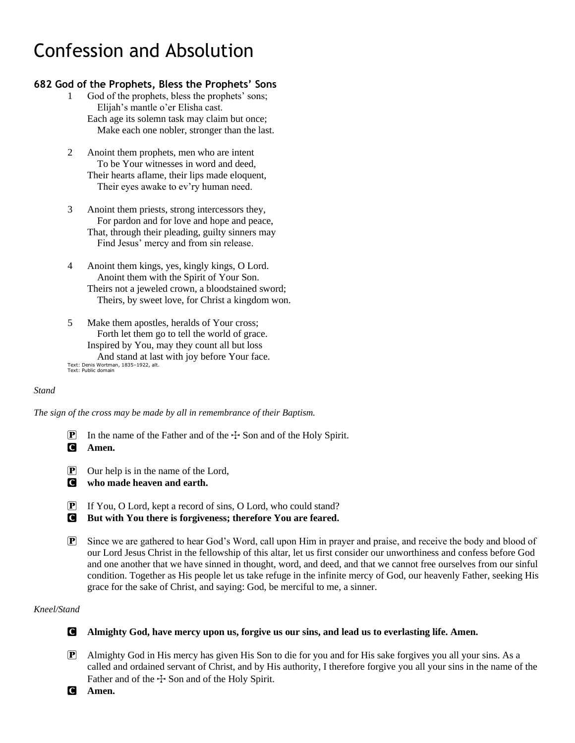# Confession and Absolution

### **682 God of the Prophets, Bless the Prophets' Sons**

- 1 God of the prophets, bless the prophets' sons; Elijah's mantle o'er Elisha cast. Each age its solemn task may claim but once; Make each one nobler, stronger than the last.
- 2 Anoint them prophets, men who are intent To be Your witnesses in word and deed, Their hearts aflame, their lips made eloquent, Their eyes awake to ev'ry human need.
- 3 Anoint them priests, strong intercessors they, For pardon and for love and hope and peace, That, through their pleading, guilty sinners may Find Jesus' mercy and from sin release.
- 4 Anoint them kings, yes, kingly kings, O Lord. Anoint them with the Spirit of Your Son. Theirs not a jeweled crown, a bloodstained sword; Theirs, by sweet love, for Christ a kingdom won.
- 5 Make them apostles, heralds of Your cross; Forth let them go to tell the world of grace. Inspired by You, may they count all but loss And stand at last with joy before Your face. Text: Denis Wortman, 1835–1922, alt. Text: Public domain

#### *Stand*

*The sign of the cross may be made by all in remembrance of their Baptism.*

- **P** In the name of the Father and of the  $\pm$  Son and of the Holy Spirit. C **Amen.**
- P Our help is in the name of the Lord,
- C **who made heaven and earth.**
- P If You, O Lord, kept a record of sins, O Lord, who could stand?
- C **But with You there is forgiveness; therefore You are feared.**
- P Since we are gathered to hear God's Word, call upon Him in prayer and praise, and receive the body and blood of our Lord Jesus Christ in the fellowship of this altar, let us first consider our unworthiness and confess before God and one another that we have sinned in thought, word, and deed, and that we cannot free ourselves from our sinful condition. Together as His people let us take refuge in the infinite mercy of God, our heavenly Father, seeking His grace for the sake of Christ, and saying: God, be merciful to me, a sinner.

#### *Kneel/Stand*

### C **Almighty God, have mercy upon us, forgive us our sins, and lead us to everlasting life. Amen.**

- P Almighty God in His mercy has given His Son to die for you and for His sake forgives you all your sins. As a called and ordained servant of Christ, and by His authority, I therefore forgive you all your sins in the name of the Father and of the  $\pm$  Son and of the Holy Spirit.
- C **Amen.**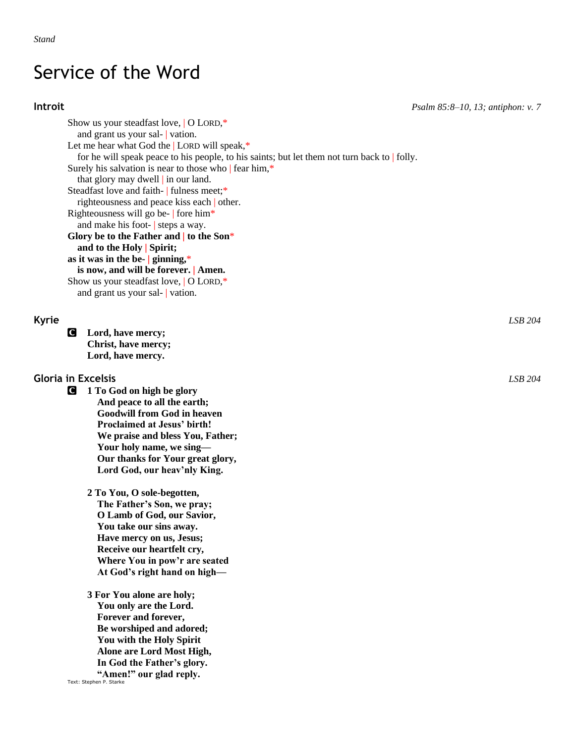## Service of the Word

**Introit** *Psalm 85:8–10, 13; antiphon: v. 7*

Show us your steadfast love, | O LORD,\* and grant us your sal- | vation. Let me hear what God the | LORD will speak,\* for he will speak peace to his people, to his saints; but let them not turn back to | folly. Surely his salvation is near to those who | fear him,\* that glory may dwell | in our land. Steadfast love and faith- | fulness meet;\* righteousness and peace kiss each | other. Righteousness will go be- | fore him\* and make his foot- | steps a way. **Glory be to the Father and | to the Son**\* **and to the Holy | Spirit; as it was in the be- | ginning,**\* **is now, and will be forever. | Amen.** Show us your steadfast love, | O LORD,\* and grant us your sal- | vation.

C **Lord, have mercy; Christ, have mercy; Lord, have mercy.**

### **Gloria in Excelsis** *LSB 204*

- C **1 To God on high be glory And peace to all the earth; Goodwill from God in heaven Proclaimed at Jesus' birth! We praise and bless You, Father; Your holy name, we sing— Our thanks for Your great glory, Lord God, our heav'nly King.**
	- **2 To You, O sole-begotten, The Father's Son, we pray; O Lamb of God, our Savior, You take our sins away. Have mercy on us, Jesus; Receive our heartfelt cry, Where You in pow'r are seated At God's right hand on high—**

**3 For You alone are holy; You only are the Lord. Forever and forever, Be worshiped and adored; You with the Holy Spirit Alone are Lord Most High, In God the Father's glory. "Amen!" our glad reply.**

Text: Stephen P. Starke

**Kyrie** *LSB 204*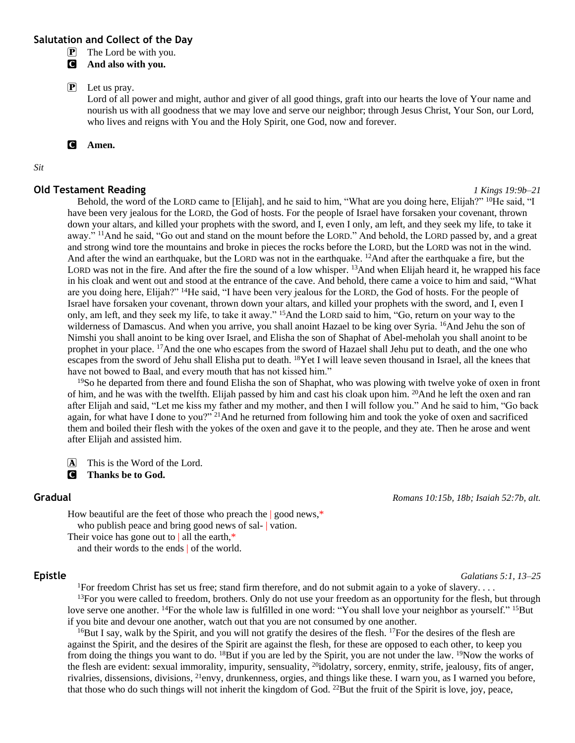#### **Salutation and Collect of the Day**

 $\boxed{\mathbf{P}}$  The Lord be with you.

C **And also with you.**

#### P Let us pray.

Lord of all power and might, author and giver of all good things, graft into our hearts the love of Your name and nourish us with all goodness that we may love and serve our neighbor; through Jesus Christ, Your Son, our Lord, who lives and reigns with You and the Holy Spirit, one God, now and forever.

C **Amen.**

#### *Sit*

#### **Old Testament Reading** *1 Kings 19:9b–21*

Behold, the word of the LORD came to [Elijah], and he said to him, "What are you doing here, Elijah?" <sup>10</sup>He said, "I have been very jealous for the LORD, the God of hosts. For the people of Israel have forsaken your covenant, thrown down your altars, and killed your prophets with the sword, and I, even I only, am left, and they seek my life, to take it away." <sup>11</sup>And he said, "Go out and stand on the mount before the LORD." And behold, the LORD passed by, and a great and strong wind tore the mountains and broke in pieces the rocks before the LORD, but the LORD was not in the wind. And after the wind an earthquake, but the LORD was not in the earthquake. <sup>12</sup>And after the earthquake a fire, but the LORD was not in the fire. And after the fire the sound of a low whisper. <sup>13</sup>And when Elijah heard it, he wrapped his face in his cloak and went out and stood at the entrance of the cave. And behold, there came a voice to him and said, "What are you doing here, Elijah?" <sup>14</sup>He said, "I have been very jealous for the LORD, the God of hosts. For the people of Israel have forsaken your covenant, thrown down your altars, and killed your prophets with the sword, and I, even I only, am left, and they seek my life, to take it away." <sup>15</sup>And the LORD said to him, "Go, return on your way to the wilderness of Damascus. And when you arrive, you shall anoint Hazael to be king over Syria. <sup>16</sup>And Jehu the son of Nimshi you shall anoint to be king over Israel, and Elisha the son of Shaphat of Abel-meholah you shall anoint to be prophet in your place. <sup>17</sup>And the one who escapes from the sword of Hazael shall Jehu put to death, and the one who escapes from the sword of Jehu shall Elisha put to death. <sup>18</sup>Yet I will leave seven thousand in Israel, all the knees that have not bowed to Baal, and every mouth that has not kissed him."

 $19$ So he departed from there and found Elisha the son of Shaphat, who was plowing with twelve yoke of oxen in front of him, and he was with the twelfth. Elijah passed by him and cast his cloak upon him. <sup>20</sup>And he left the oxen and ran after Elijah and said, "Let me kiss my father and my mother, and then I will follow you." And he said to him, "Go back again, for what have I done to you?" <sup>21</sup>And he returned from following him and took the yoke of oxen and sacrificed them and boiled their flesh with the yokes of the oxen and gave it to the people, and they ate. Then he arose and went after Elijah and assisted him.

A This is the Word of the Lord.

C **Thanks be to God.**

#### **Gradual** *Romans 10:15b, 18b; Isaiah 52:7b, alt.*

How beautiful are the feet of those who preach the | good news,\* who publish peace and bring good news of sal- | vation. Their voice has gone out to  $|$  all the earth,\*

and their words to the ends | of the world.

#### **Epistle** *Galatians 5:1, 13–25*

<sup>1</sup>For freedom Christ has set us free; stand firm therefore, and do not submit again to a yoke of slavery....  $13$ For you were called to freedom, brothers. Only do not use your freedom as an opportunity for the flesh, but through love serve one another. <sup>14</sup>For the whole law is fulfilled in one word: "You shall love your neighbor as yourself." <sup>15</sup>But if you bite and devour one another, watch out that you are not consumed by one another.

<sup>16</sup>But I say, walk by the Spirit, and you will not gratify the desires of the flesh. <sup>17</sup>For the desires of the flesh are against the Spirit, and the desires of the Spirit are against the flesh, for these are opposed to each other, to keep you from doing the things you want to do. <sup>18</sup>But if you are led by the Spirit, you are not under the law. <sup>19</sup>Now the works of the flesh are evident: sexual immorality, impurity, sensuality, <sup>20</sup>idolatry, sorcery, enmity, strife, jealousy, fits of anger, rivalries, dissensions, divisions, <sup>21</sup>envy, drunkenness, orgies, and things like these. I warn you, as I warned you before, that those who do such things will not inherit the kingdom of God. <sup>22</sup>But the fruit of the Spirit is love, joy, peace,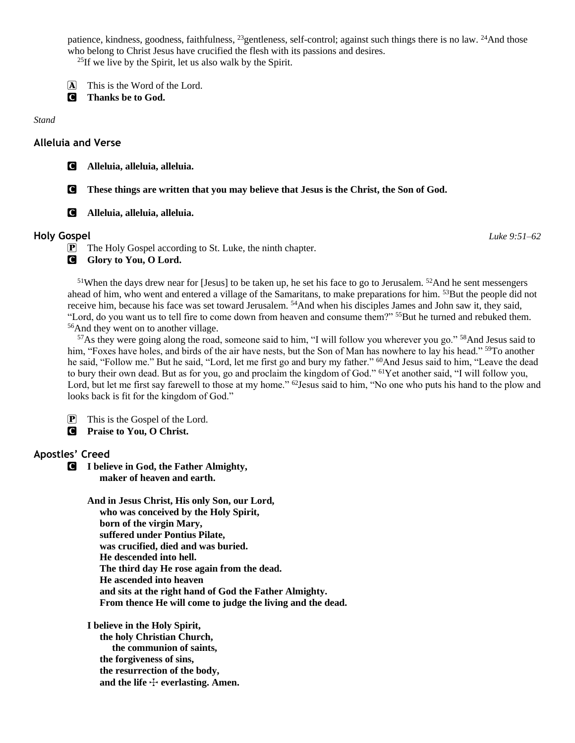patience, kindness, goodness, faithfulness, <sup>23</sup>gentleness, self-control; against such things there is no law. <sup>24</sup>And those who belong to Christ Jesus have crucified the flesh with its passions and desires.

 $^{25}$ If we live by the Spirit, let us also walk by the Spirit.

- A This is the Word of the Lord.
- C **Thanks be to God.**

*Stand*

#### **Alleluia and Verse**

C **Alleluia, alleluia, alleluia.**

C **These things are written that you may believe that Jesus is the Christ, the Son of God.**

C **Alleluia, alleluia, alleluia.**

#### **Holy Gospel** *Luke 9:51–62*

P The Holy Gospel according to St. Luke, the ninth chapter.

**G** Glory to You, O Lord.

 $51$ When the days drew near for [Jesus] to be taken up, he set his face to go to Jerusalem.  $52$ And he sent messengers ahead of him, who went and entered a village of the Samaritans, to make preparations for him. <sup>53</sup>But the people did not receive him, because his face was set toward Jerusalem. <sup>54</sup>And when his disciples James and John saw it, they said, "Lord, do you want us to tell fire to come down from heaven and consume them?" <sup>55</sup>But he turned and rebuked them. <sup>56</sup>And they went on to another village.

<sup>57</sup>As they were going along the road, someone said to him, "I will follow you wherever you go." <sup>58</sup>And Jesus said to him, "Foxes have holes, and birds of the air have nests, but the Son of Man has nowhere to lay his head." <sup>59</sup>To another he said, "Follow me." But he said, "Lord, let me first go and bury my father." <sup>60</sup>And Jesus said to him, "Leave the dead to bury their own dead. But as for you, go and proclaim the kingdom of God." <sup>61</sup>Yet another said, "I will follow you, Lord, but let me first say farewell to those at my home." <sup>62</sup>Jesus said to him, "No one who puts his hand to the plow and looks back is fit for the kingdom of God."

P This is the Gospel of the Lord.

C **Praise to You, O Christ.**

### **Apostles' Creed**

C **I believe in God, the Father Almighty, maker of heaven and earth.**

> **And in Jesus Christ, His only Son, our Lord, who was conceived by the Holy Spirit, born of the virgin Mary, suffered under Pontius Pilate, was crucified, died and was buried. He descended into hell. The third day He rose again from the dead. He ascended into heaven and sits at the right hand of God the Father Almighty. From thence He will come to judge the living and the dead.**

**I believe in the Holy Spirit, the holy Christian Church, the communion of saints, the forgiveness of sins, the resurrection of the body,** and the life  $+$  everlasting. Amen.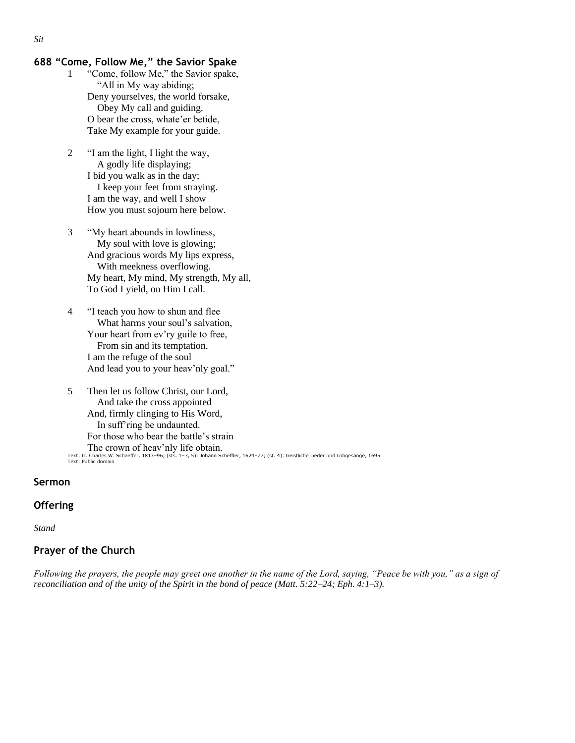#### **688 "Come, Follow Me," the Savior Spake**

- 1 "Come, follow Me," the Savior spake, "All in My way abiding; Deny yourselves, the world forsake, Obey My call and guiding. O bear the cross, whate'er betide, Take My example for your guide.
- 2 "I am the light, I light the way, A godly life displaying; I bid you walk as in the day; I keep your feet from straying. I am the way, and well I show How you must sojourn here below.
- 3 "My heart abounds in lowliness, My soul with love is glowing; And gracious words My lips express, With meekness overflowing. My heart, My mind, My strength, My all, To God I yield, on Him I call.
- 4 "I teach you how to shun and flee What harms your soul's salvation, Your heart from ev'ry guile to free, From sin and its temptation. I am the refuge of the soul And lead you to your heav'nly goal."
- 5 Then let us follow Christ, our Lord, And take the cross appointed And, firmly clinging to His Word, In suff'ring be undaunted. For those who bear the battle's strain The crown of heav'nly life obtain. Text: tr. Charles W. Schaeffer, 1813–96; (sts. 1–3, 5): Johann Scheffler, 1624–77; (st. 4): Geistliche Lieder und Lobgesänge, 1695 Text: Public domain

#### **Sermon**

#### **Offering**

*Stand*

### **Prayer of the Church**

*Following the prayers, the people may greet one another in the name of the Lord, saying, "Peace be with you," as a sign of reconciliation and of the unity of the Spirit in the bond of peace (Matt. 5:22–24; Eph. 4:1–3).*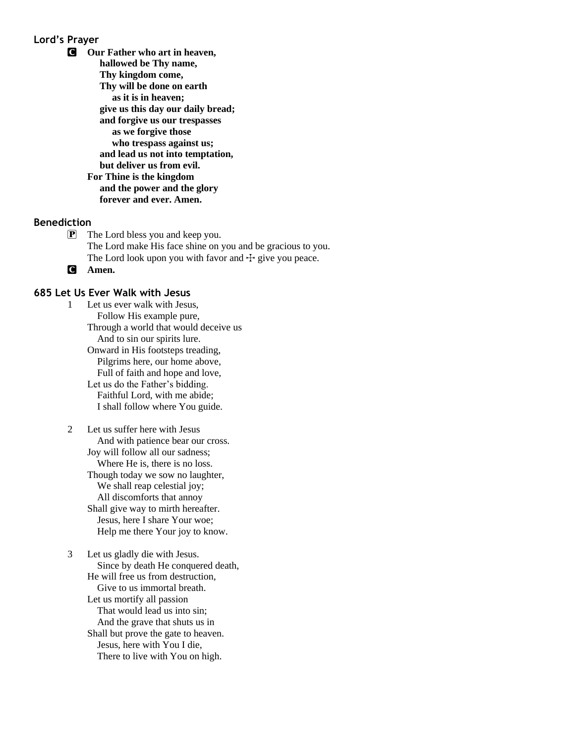#### **Lord's Prayer**

C **Our Father who art in heaven, hallowed be Thy name, Thy kingdom come, Thy will be done on earth as it is in heaven; give us this day our daily bread; and forgive us our trespasses as we forgive those who trespass against us; and lead us not into temptation, but deliver us from evil. For Thine is the kingdom and the power and the glory forever and ever. Amen.**

#### **Benediction**

- P The Lord bless you and keep you. The Lord make His face shine on you and be gracious to you. The Lord look upon you with favor and  $+$  give you peace.
- C **Amen.**

#### **685 Let Us Ever Walk with Jesus**

1 Let us ever walk with Jesus, Follow His example pure, Through a world that would deceive us And to sin our spirits lure. Onward in His footsteps treading, Pilgrims here, our home above, Full of faith and hope and love, Let us do the Father's bidding. Faithful Lord, with me abide; I shall follow where You guide.

2 Let us suffer here with Jesus And with patience bear our cross. Joy will follow all our sadness; Where He is, there is no loss. Though today we sow no laughter, We shall reap celestial joy; All discomforts that annoy Shall give way to mirth hereafter. Jesus, here I share Your woe; Help me there Your joy to know.

3 Let us gladly die with Jesus. Since by death He conquered death, He will free us from destruction, Give to us immortal breath. Let us mortify all passion That would lead us into sin; And the grave that shuts us in Shall but prove the gate to heaven. Jesus, here with You I die, There to live with You on high.